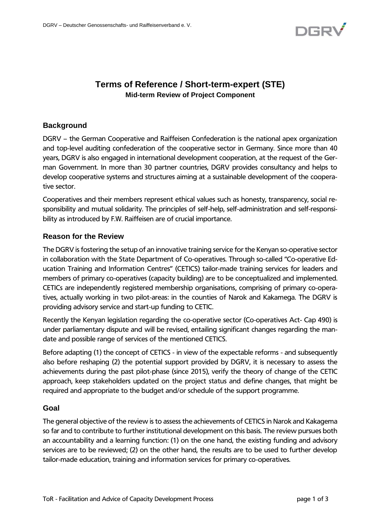

# **Terms of Reference / Short-term-expert (STE) Mid-term Review of Project Component**

### **Background**

DGRV – the German Cooperative and Raiffeisen Confederation is the national apex organization and top-level auditing confederation of the cooperative sector in Germany. Since more than 40 years, DGRV is also engaged in international development cooperation, at the request of the German Government. In more than 30 partner countries, DGRV provides consultancy and helps to develop cooperative systems and structures aiming at a sustainable development of the cooperative sector.

Cooperatives and their members represent ethical values such as honesty, transparency, social responsibility and mutual solidarity. The principles of self-help, self-administration and self-responsibility as introduced by F.W. Raiffeisen are of crucial importance.

### **Reason for the Review**

The DGRV is fostering the setup of an innovative training service for the Kenyan so-operative sector in collaboration with the State Department of Co-operatives. Through so-called "Co-operative Education Training and Information Centres" (CETICS) tailor-made training services for leaders and members of primary co-operatives (capacity building) are to be conceptualized and implemented. CETICs are independently registered membership organisations, comprising of primary co-operatives, actually working in two pilot-areas: in the counties of Narok and Kakamega. The DGRV is providing advisory service and start-up funding to CETIC.

Recently the Kenyan legislation regarding the co-operative sector (Co-operatives Act- Cap 490) is under parliamentary dispute and will be revised, entailing significant changes regarding the mandate and possible range of services of the mentioned CETICS.

Before adapting (1) the concept of CETICS - in view of the expectable reforms - and subsequently also before reshaping (2) the potential support provided by DGRV, it is necessary to assess the achievements during the past pilot-phase (since 2015), verify the theory of change of the CETIC approach, keep stakeholders updated on the project status and define changes, that might be required and appropriate to the budget and/or schedule of the support programme.

#### **Goal**

The general objective of the review is to assess the achievements of CETICS in Narok and Kakagema so far and to contribute to further institutional development on this basis. The review pursues both an accountability and a learning function: (1) on the one hand, the existing funding and advisory services are to be reviewed; (2) on the other hand, the results are to be used to further develop tailor-made education, training and information services for primary co-operatives.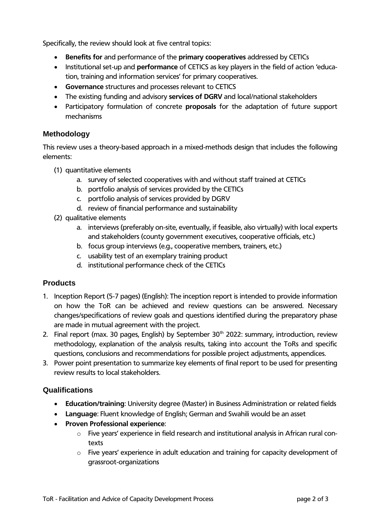Specifically, the review should look at five central topics:

- **Benefits for** and performance of the **primary cooperatives** addressed by CETICs
- Institutional set-up and **performance** of CETICS as key players in the field of action 'education, training and information services' for primary cooperatives.
- **Governance** structures and processes relevant to CETICS
- The existing funding and advisory **services of DGRV** and local/national stakeholders
- Participatory formulation of concrete **proposals** for the adaptation of future support mechanisms

### **Methodology**

This review uses a theory-based approach in a mixed-methods design that includes the following elements:

- (1) quantitative elements
	- a. survey of selected cooperatives with and without staff trained at CETICs
	- b. portfolio analysis of services provided by the CETICs
	- c. portfolio analysis of services provided by DGRV
	- d. review of financial performance and sustainability
- (2) qualitative elements
	- a. interviews (preferably on-site, eventually, if feasible, also virtually) with local experts and stakeholders (county government executives, cooperative officials, etc.)
	- b. focus group interviews (e.g., cooperative members, trainers, etc.)
	- c. usability test of an exemplary training product
	- d. institutional performance check of the CETICs

## **Products**

- 1. Inception Report (5-7 pages) (English): The inception report is intended to provide information on how the ToR can be achieved and review questions can be answered. Necessary changes/specifications of review goals and questions identified during the preparatory phase are made in mutual agreement with the project.
- 2. Final report (max. 30 pages, English) by September  $30<sup>th</sup>$  2022: summary, introduction, review methodology, explanation of the analysis results, taking into account the ToRs and specific questions, conclusions and recommendations for possible project adjustments, appendices.
- 3. Power point presentation to summarize key elements of final report to be used for presenting review results to local stakeholders.

## **Qualifications**

- **Education/training**: University degree (Master) in Business Administration or related fields
- **Language**: Fluent knowledge of English; German and Swahili would be an asset
- **Proven Professional experience**:
	- o Five years' experience in field research and institutional analysis in African rural contexts
	- o Five years' experience in adult education and training for capacity development of grassroot-organizations